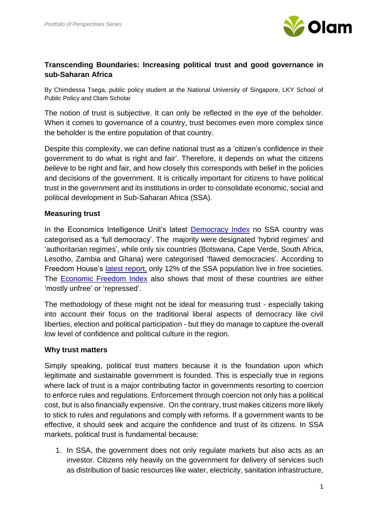

# **Transcending Boundaries: Increasing political trust and good governance in sub-Saharan Africa**

By Chimdessa Tsega, public policy student at the National University of Singapore, LKY School of Public Policy and Olam Scholar

The notion of trust is subjective. It can only be reflected in the eye of the beholder. When it comes to governance of a country, trust becomes even more complex since the beholder is the entire population of that country.

Despite this complexity, we can define national trust as a 'citizen's confidence in their government to do what is right and fair'. Therefore, it depends on what the citizens *believe* to be right and fair, and how closely this corresponds with belief in the policies and decisions of the government. It is critically important for citizens to have political trust in the government and its institutions in order to consolidate economic, social and political development in Sub-Saharan Africa (SSA).

# **Measuring trust**

In the Economics Intelligence Unit's latest [Democracy Index](http://www.sudestada.com.uy/Content/Articles/421a313a-d58f-462e-9b24-2504a37f6b56/Democracy-index-2014.pdf) no SSA country was categorised as a 'full democracy'. The majority were designated 'hybrid regimes' and 'authoritarian regimes', while only six countries (Botswana, Cape Verde, South Africa, Lesotho, Zambia and Ghana) were categorised 'flawed democracies'. According to Freedom House's [latest report,](https://freedomhouse.org/report/freedom-world/freedom-world-2015#.Vm57eVV97IU) only 12% of the SSA population live in free societies. The [Economic Freedom Index](http://www.heritage.org/index/ranking) also shows that most of these countries are either 'mostly unfree' or 'repressed'.

The methodology of these might not be ideal for measuring trust - especially taking into account their focus on the traditional liberal aspects of democracy like civil liberties, election and political participation - but they do manage to capture the overall low level of confidence and political culture in the region.

#### **Why trust matters**

Simply speaking, political trust matters because it is the foundation upon which legitimate and sustainable government is founded. This is especially true in regions where lack of trust is a major contributing factor in governments resorting to coercion to enforce rules and regulations. Enforcement through coercion not only has a political cost, but is also financially expensive. On the contrary, trust makes citizens more likely to stick to rules and regulations and comply with reforms. If a government wants to be effective, it should seek and acquire the confidence and trust of its citizens. In SSA markets, political trust is fundamental because:

1. In SSA, the government does not only regulate markets but also acts as an investor. Citizens rely heavily on the government for delivery of services such as distribution of basic resources like water, electricity, sanitation infrastructure,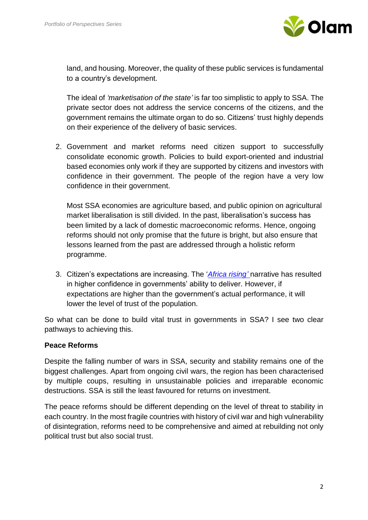

land, and housing. Moreover, the quality of these public services is fundamental to a country's development.

The ideal of *'marketisation of the state'* is far too simplistic to apply to SSA. The private sector does not address the service concerns of the citizens, and the government remains the ultimate organ to do so. Citizens' trust highly depends on their experience of the delivery of basic services.

2. Government and market reforms need citizen support to successfully consolidate economic growth. Policies to build export-oriented and industrial based economies only work if they are supported by citizens and investors with confidence in their government. The people of the region have a very low confidence in their government.

Most SSA economies are agriculture based, and public opinion on agricultural market liberalisation is still divided. In the past, liberalisation's success has been limited by a lack of domestic macroeconomic reforms. Hence, ongoing reforms should not only promise that the future is bright, but also ensure that lessons learned from the past are addressed through a holistic reform programme.

3. Citizen's expectations are increasing. The '*[Africa rising'](http://www.economist.com/node/21541015)* narrative has resulted in higher confidence in governments' ability to deliver. However, if expectations are higher than the government's actual performance, it will lower the level of trust of the population.

So what can be done to build vital trust in governments in SSA? I see two clear pathways to achieving this.

# **Peace Reforms**

Despite the falling number of wars in SSA, security and stability remains one of the biggest challenges. Apart from ongoing civil wars, the region has been characterised by multiple coups, resulting in unsustainable policies and irreparable economic destructions. SSA is still the least favoured for returns on investment.

The peace reforms should be different depending on the level of threat to stability in each country. In the most fragile countries with history of civil war and high vulnerability of disintegration, reforms need to be comprehensive and aimed at rebuilding not only political trust but also social trust.